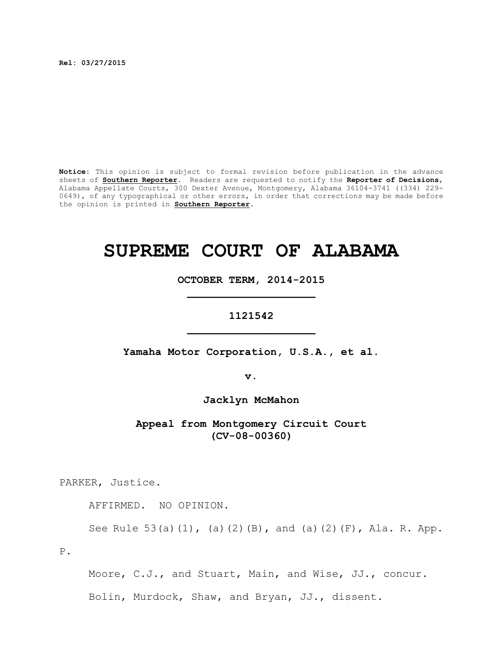**Rel: 03/27/2015**

**Notice:** This opinion is subject to formal revision before publication in the advance sheets of **Southern Reporter**. Readers are requested to notify the **Reporter of Decisions**, Alabama Appellate Courts, 300 Dexter Avenue, Montgomery, Alabama 36104-3741 ((334) 229- 0649), of any typographical or other errors, in order that corrections may be made before the opinion is printed in **Southern Reporter**.

## **SUPREME COURT OF ALABAMA**

**OCTOBER TERM, 2014-2015 \_\_\_\_\_\_\_\_\_\_\_\_\_\_\_\_\_\_\_\_**

## **1121542 \_\_\_\_\_\_\_\_\_\_\_\_\_\_\_\_\_\_\_\_**

**Yamaha Motor Corporation, U.S.A., et al.**

**v.**

**Jacklyn McMahon**

**Appeal from Montgomery Circuit Court (CV-08-00360)**

PARKER, Justice.

AFFIRMED. NO OPINION.

See Rule 53(a)(1), (a)(2)(B), and (a)(2)(F), Ala. R. App.

P.

Moore, C.J., and Stuart, Main, and Wise, JJ., concur. Bolin, Murdock, Shaw, and Bryan, JJ., dissent.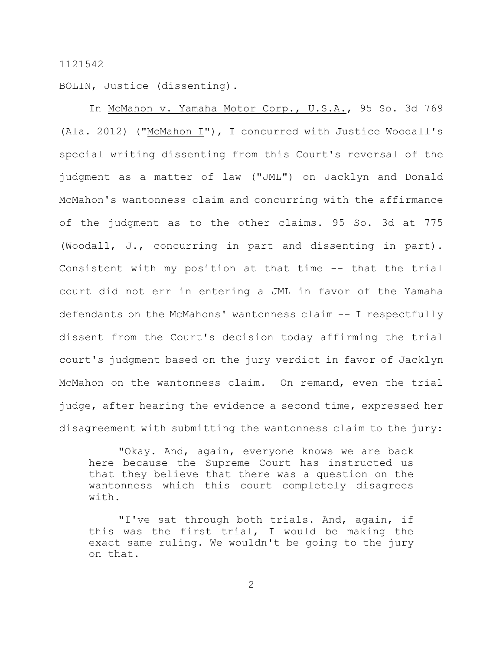## 1121542

BOLIN, Justice (dissenting).

In McMahon v. Yamaha Motor Corp., U.S.A., 95 So. 3d 769 (Ala. 2012) ("McMahon I"), I concurred with Justice Woodall's special writing dissenting from this Court's reversal of the judgment as a matter of law ("JML") on Jacklyn and Donald McMahon's wantonness claim and concurring with the affirmance of the judgment as to the other claims. 95 So. 3d at 775 (Woodall, J., concurring in part and dissenting in part). Consistent with my position at that time -- that the trial court did not err in entering a JML in favor of the Yamaha defendants on the McMahons' wantonness claim -- I respectfully dissent from the Court's decision today affirming the trial court's judgment based on the jury verdict in favor of Jacklyn McMahon on the wantonness claim. On remand, even the trial judge, after hearing the evidence a second time, expressed her disagreement with submitting the wantonness claim to the jury:

"Okay. And, again, everyone knows we are back here because the Supreme Court has instructed us that they believe that there was a question on the wantonness which this court completely disagrees  $with<sub>1</sub>$ 

"I've sat through both trials. And, again, if this was the first trial, I would be making the exact same ruling. We wouldn't be going to the jury on that.

2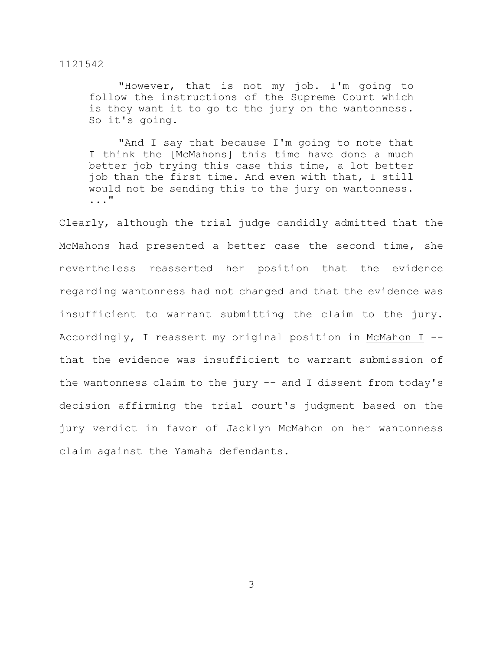1121542

"However, that is not my job. I'm going to follow the instructions of the Supreme Court which is they want it to go to the jury on the wantonness. So it's going.

"And I say that because I'm going to note that I think the [McMahons] this time have done a much better job trying this case this time, a lot better job than the first time. And even with that, I still would not be sending this to the jury on wantonness. ..."

Clearly, although the trial judge candidly admitted that the McMahons had presented a better case the second time, she nevertheless reasserted her position that the evidence regarding wantonness had not changed and that the evidence was insufficient to warrant submitting the claim to the jury. Accordingly, I reassert my original position in McMahon I - that the evidence was insufficient to warrant submission of the wantonness claim to the jury -- and I dissent from today's decision affirming the trial court's judgment based on the jury verdict in favor of Jacklyn McMahon on her wantonness claim against the Yamaha defendants.

3